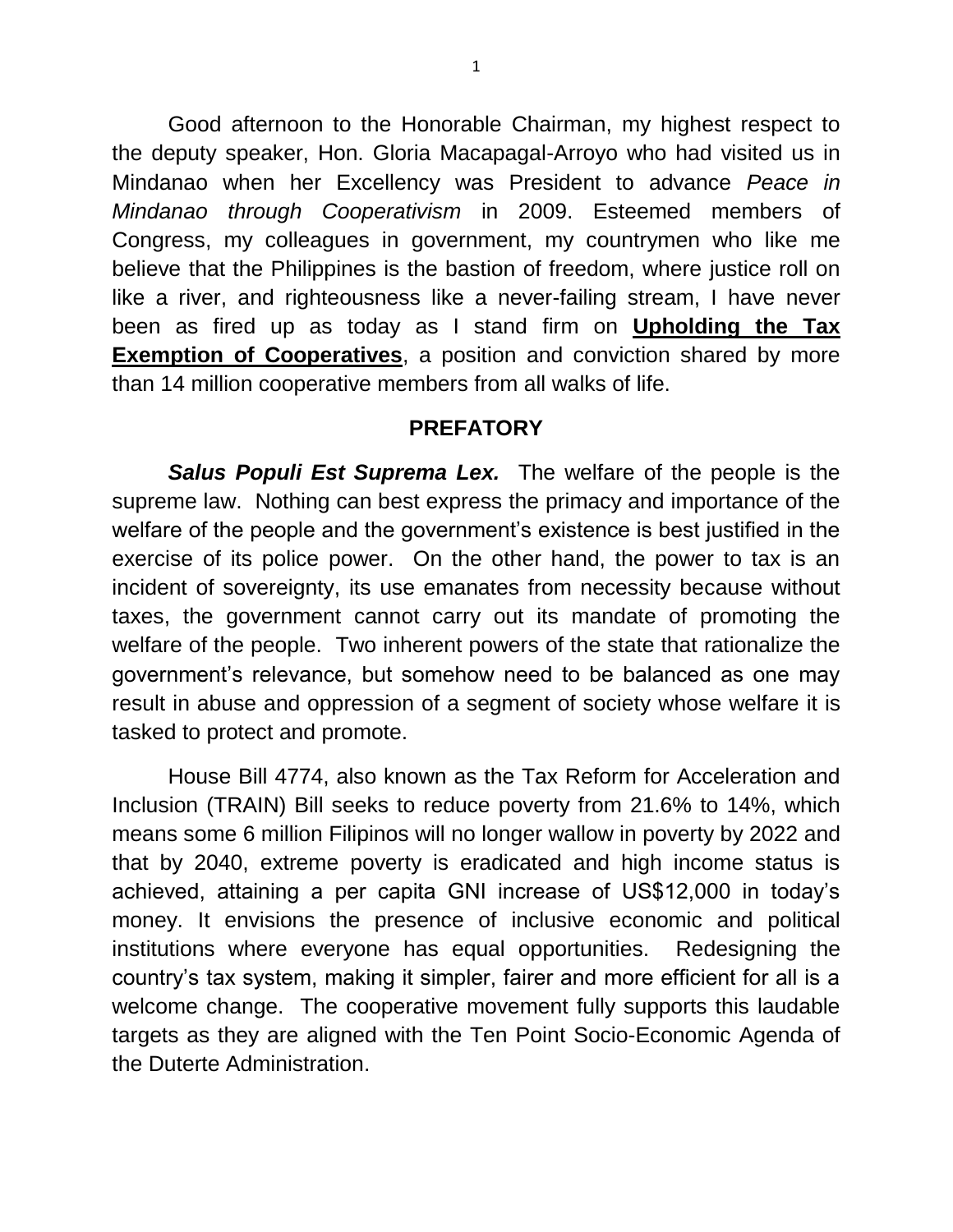Good afternoon to the Honorable Chairman, my highest respect to the deputy speaker, Hon. Gloria Macapagal-Arroyo who had visited us in Mindanao when her Excellency was President to advance *Peace in Mindanao through Cooperativism* in 2009. Esteemed members of Congress, my colleagues in government, my countrymen who like me believe that the Philippines is the bastion of freedom, where justice roll on like a river, and righteousness like a never-failing stream, I have never been as fired up as today as I stand firm on **Upholding the Tax Exemption of Cooperatives**, a position and conviction shared by more than 14 million cooperative members from all walks of life.

## **PREFATORY**

*Salus Populi Est Suprema Lex.* The welfare of the people is the supreme law. Nothing can best express the primacy and importance of the welfare of the people and the government's existence is best justified in the exercise of its police power. On the other hand, the power to tax is an incident of sovereignty, its use emanates from necessity because without taxes, the government cannot carry out its mandate of promoting the welfare of the people. Two inherent powers of the state that rationalize the government's relevance, but somehow need to be balanced as one may result in abuse and oppression of a segment of society whose welfare it is tasked to protect and promote.

House Bill 4774, also known as the Tax Reform for Acceleration and Inclusion (TRAIN) Bill seeks to reduce poverty from 21.6% to 14%, which means some 6 million Filipinos will no longer wallow in poverty by 2022 and that by 2040, extreme poverty is eradicated and high income status is achieved, attaining a per capita GNI increase of US\$12,000 in today's money. It envisions the presence of inclusive economic and political institutions where everyone has equal opportunities. Redesigning the country's tax system, making it simpler, fairer and more efficient for all is a welcome change. The cooperative movement fully supports this laudable targets as they are aligned with the Ten Point Socio-Economic Agenda of the Duterte Administration.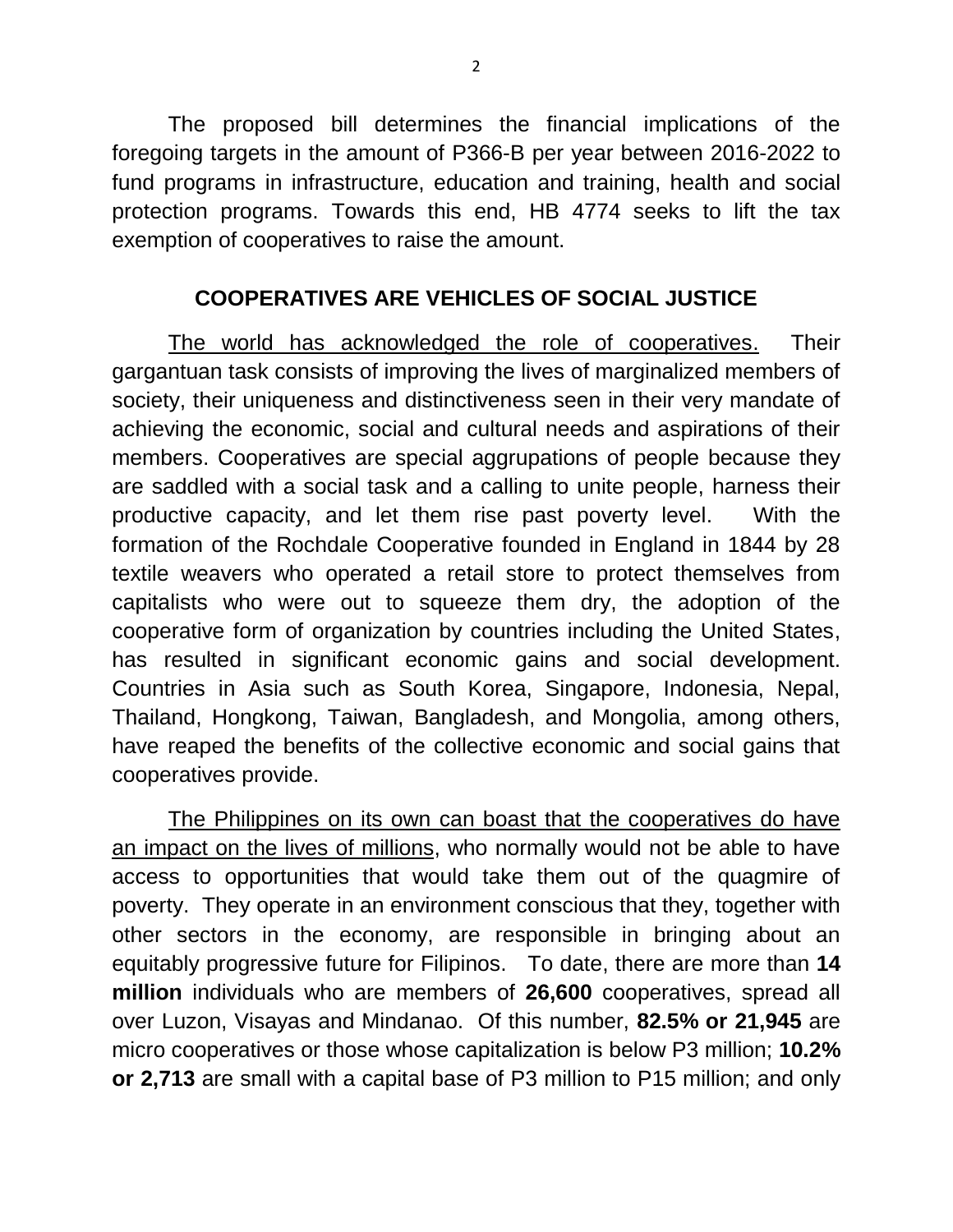The proposed bill determines the financial implications of the foregoing targets in the amount of P366-B per year between 2016-2022 to fund programs in infrastructure, education and training, health and social protection programs. Towards this end, HB 4774 seeks to lift the tax exemption of cooperatives to raise the amount.

## **COOPERATIVES ARE VEHICLES OF SOCIAL JUSTICE**

The world has acknowledged the role of cooperatives. Their gargantuan task consists of improving the lives of marginalized members of society, their uniqueness and distinctiveness seen in their very mandate of achieving the economic, social and cultural needs and aspirations of their members. Cooperatives are special aggrupations of people because they are saddled with a social task and a calling to unite people, harness their productive capacity, and let them rise past poverty level. With the formation of the Rochdale Cooperative founded in England in 1844 by 28 textile weavers who operated a retail store to protect themselves from capitalists who were out to squeeze them dry, the adoption of the cooperative form of organization by countries including the United States, has resulted in significant economic gains and social development. Countries in Asia such as South Korea, Singapore, Indonesia, Nepal, Thailand, Hongkong, Taiwan, Bangladesh, and Mongolia, among others, have reaped the benefits of the collective economic and social gains that cooperatives provide.

The Philippines on its own can boast that the cooperatives do have an impact on the lives of millions, who normally would not be able to have access to opportunities that would take them out of the quagmire of poverty. They operate in an environment conscious that they, together with other sectors in the economy, are responsible in bringing about an equitably progressive future for Filipinos. To date, there are more than **14 million** individuals who are members of **26,600** cooperatives, spread all over Luzon, Visayas and Mindanao. Of this number, **82.5% or 21,945** are micro cooperatives or those whose capitalization is below P3 million; **10.2% or 2,713** are small with a capital base of P3 million to P15 million; and only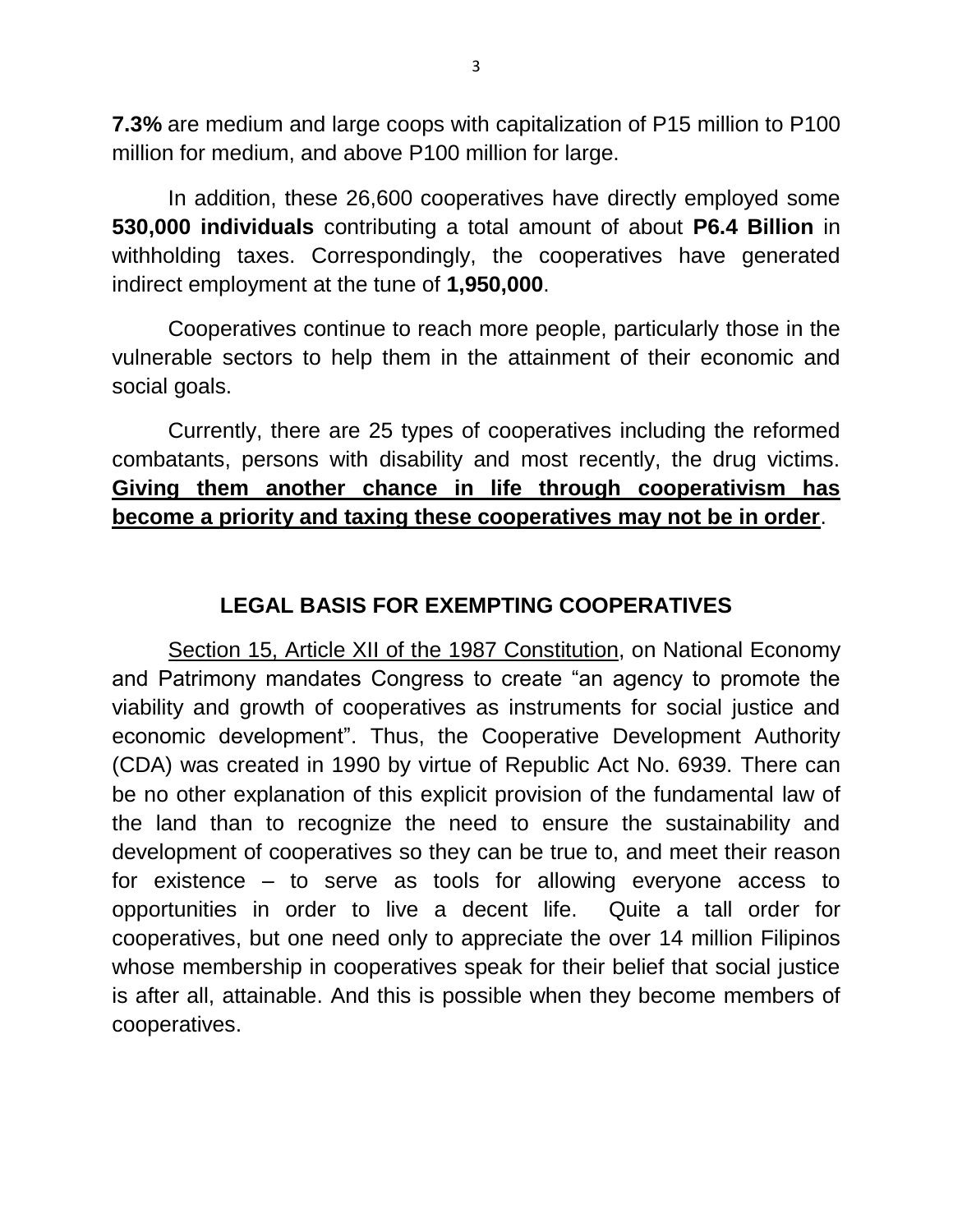**7.3%** are medium and large coops with capitalization of P15 million to P100 million for medium, and above P100 million for large.

In addition, these 26,600 cooperatives have directly employed some **530,000 individuals** contributing a total amount of about **P6.4 Billion** in withholding taxes. Correspondingly, the cooperatives have generated indirect employment at the tune of **1,950,000**.

Cooperatives continue to reach more people, particularly those in the vulnerable sectors to help them in the attainment of their economic and social goals.

Currently, there are 25 types of cooperatives including the reformed combatants, persons with disability and most recently, the drug victims. **Giving them another chance in life through cooperativism has become a priority and taxing these cooperatives may not be in order**.

## **LEGAL BASIS FOR EXEMPTING COOPERATIVES**

Section 15, Article XII of the 1987 Constitution, on National Economy and Patrimony mandates Congress to create "an agency to promote the viability and growth of cooperatives as instruments for social justice and economic development". Thus, the Cooperative Development Authority (CDA) was created in 1990 by virtue of Republic Act No. 6939. There can be no other explanation of this explicit provision of the fundamental law of the land than to recognize the need to ensure the sustainability and development of cooperatives so they can be true to, and meet their reason for existence – to serve as tools for allowing everyone access to opportunities in order to live a decent life. Quite a tall order for cooperatives, but one need only to appreciate the over 14 million Filipinos whose membership in cooperatives speak for their belief that social justice is after all, attainable. And this is possible when they become members of cooperatives.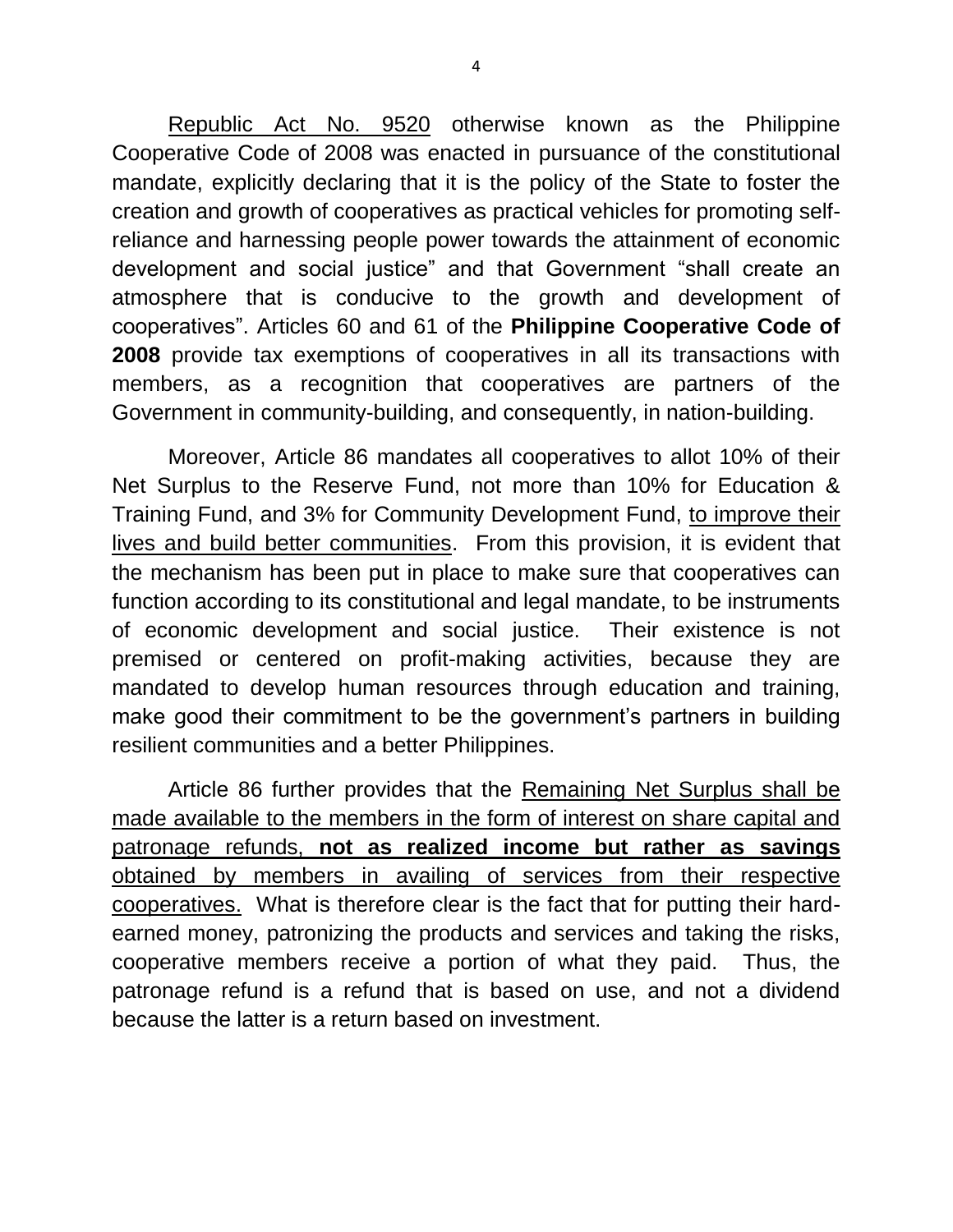Republic Act No. 9520 otherwise known as the Philippine Cooperative Code of 2008 was enacted in pursuance of the constitutional mandate, explicitly declaring that it is the policy of the State to foster the creation and growth of cooperatives as practical vehicles for promoting selfreliance and harnessing people power towards the attainment of economic development and social justice" and that Government "shall create an atmosphere that is conducive to the growth and development of cooperatives". Articles 60 and 61 of the **Philippine Cooperative Code of 2008** provide tax exemptions of cooperatives in all its transactions with members, as a recognition that cooperatives are partners of the Government in community-building, and consequently, in nation-building.

Moreover, Article 86 mandates all cooperatives to allot 10% of their Net Surplus to the Reserve Fund, not more than 10% for Education & Training Fund, and 3% for Community Development Fund, to improve their lives and build better communities. From this provision, it is evident that the mechanism has been put in place to make sure that cooperatives can function according to its constitutional and legal mandate, to be instruments of economic development and social justice. Their existence is not premised or centered on profit-making activities, because they are mandated to develop human resources through education and training, make good their commitment to be the government's partners in building resilient communities and a better Philippines.

Article 86 further provides that the Remaining Net Surplus shall be made available to the members in the form of interest on share capital and patronage refunds, **not as realized income but rather as savings** obtained by members in availing of services from their respective cooperatives. What is therefore clear is the fact that for putting their hardearned money, patronizing the products and services and taking the risks, cooperative members receive a portion of what they paid. Thus, the patronage refund is a refund that is based on use, and not a dividend because the latter is a return based on investment.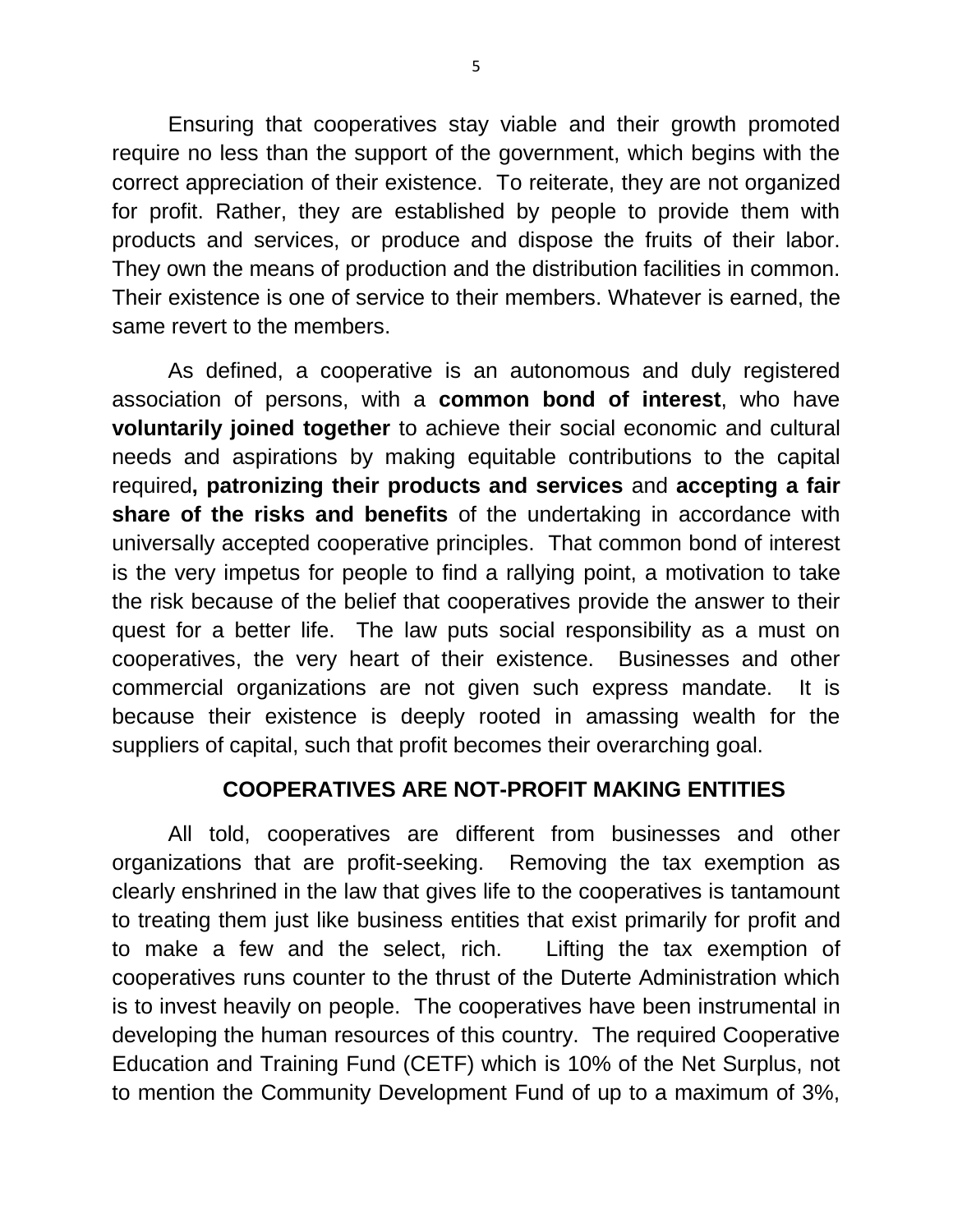Ensuring that cooperatives stay viable and their growth promoted require no less than the support of the government, which begins with the correct appreciation of their existence. To reiterate, they are not organized for profit. Rather, they are established by people to provide them with products and services, or produce and dispose the fruits of their labor. They own the means of production and the distribution facilities in common. Their existence is one of service to their members. Whatever is earned, the same revert to the members.

As defined, a cooperative is an autonomous and duly registered association of persons, with a **common bond of interest**, who have **voluntarily joined together** to achieve their social economic and cultural needs and aspirations by making equitable contributions to the capital required**, patronizing their products and services** and **accepting a fair share of the risks and benefits** of the undertaking in accordance with universally accepted cooperative principles. That common bond of interest is the very impetus for people to find a rallying point, a motivation to take the risk because of the belief that cooperatives provide the answer to their quest for a better life. The law puts social responsibility as a must on cooperatives, the very heart of their existence. Businesses and other commercial organizations are not given such express mandate. It is because their existence is deeply rooted in amassing wealth for the suppliers of capital, such that profit becomes their overarching goal.

## **COOPERATIVES ARE NOT-PROFIT MAKING ENTITIES**

All told, cooperatives are different from businesses and other organizations that are profit-seeking. Removing the tax exemption as clearly enshrined in the law that gives life to the cooperatives is tantamount to treating them just like business entities that exist primarily for profit and to make a few and the select, rich. Lifting the tax exemption of cooperatives runs counter to the thrust of the Duterte Administration which is to invest heavily on people. The cooperatives have been instrumental in developing the human resources of this country. The required Cooperative Education and Training Fund (CETF) which is 10% of the Net Surplus, not to mention the Community Development Fund of up to a maximum of 3%,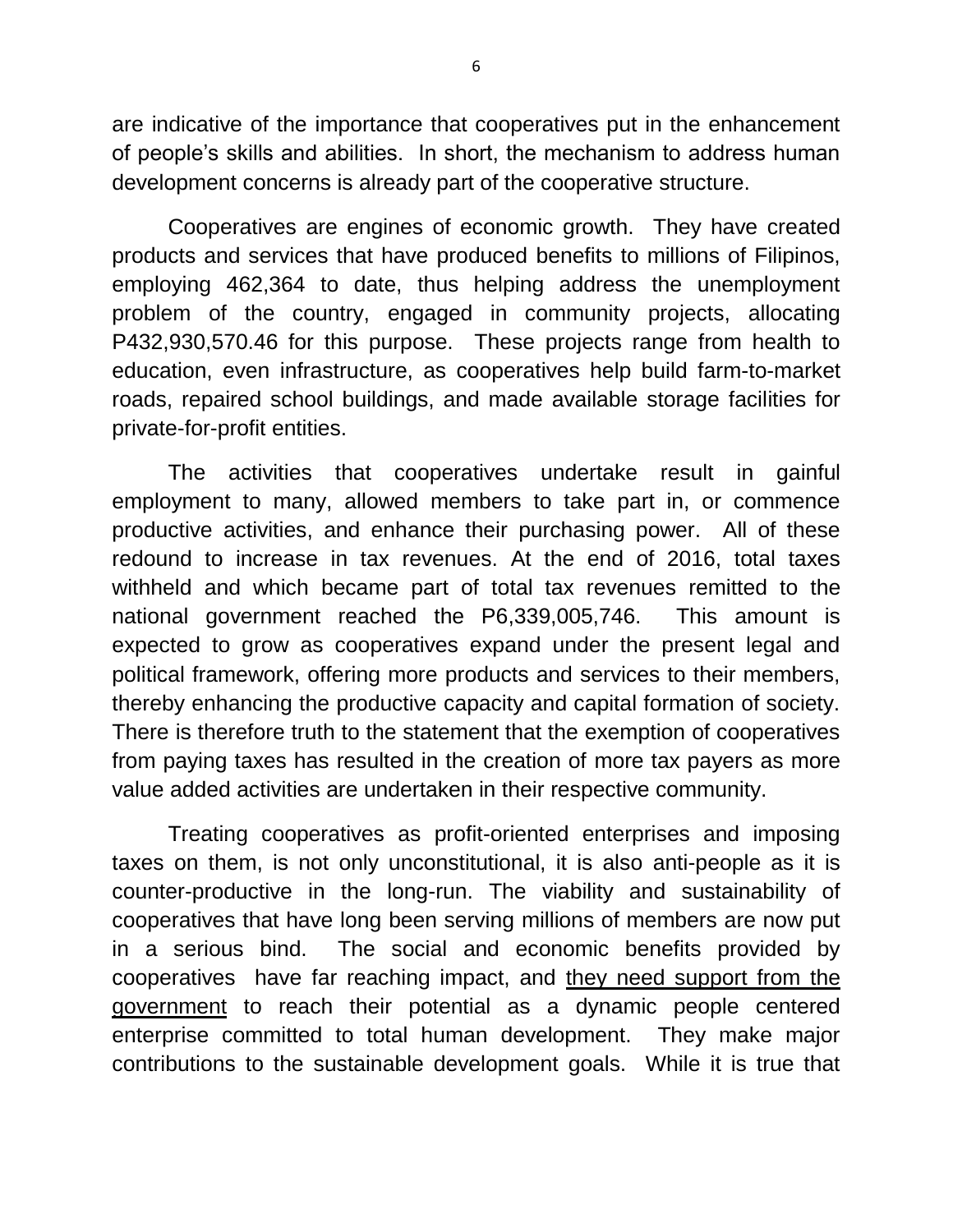are indicative of the importance that cooperatives put in the enhancement of people's skills and abilities. In short, the mechanism to address human development concerns is already part of the cooperative structure.

Cooperatives are engines of economic growth. They have created products and services that have produced benefits to millions of Filipinos, employing 462,364 to date, thus helping address the unemployment problem of the country, engaged in community projects, allocating P432,930,570.46 for this purpose. These projects range from health to education, even infrastructure, as cooperatives help build farm-to-market roads, repaired school buildings, and made available storage facilities for private-for-profit entities.

The activities that cooperatives undertake result in gainful employment to many, allowed members to take part in, or commence productive activities, and enhance their purchasing power. All of these redound to increase in tax revenues. At the end of 2016, total taxes withheld and which became part of total tax revenues remitted to the national government reached the P6,339,005,746. This amount is expected to grow as cooperatives expand under the present legal and political framework, offering more products and services to their members, thereby enhancing the productive capacity and capital formation of society. There is therefore truth to the statement that the exemption of cooperatives from paying taxes has resulted in the creation of more tax payers as more value added activities are undertaken in their respective community.

Treating cooperatives as profit-oriented enterprises and imposing taxes on them, is not only unconstitutional, it is also anti-people as it is counter-productive in the long-run. The viability and sustainability of cooperatives that have long been serving millions of members are now put in a serious bind. The social and economic benefits provided by cooperatives have far reaching impact, and they need support from the government to reach their potential as a dynamic people centered enterprise committed to total human development. They make major contributions to the sustainable development goals. While it is true that